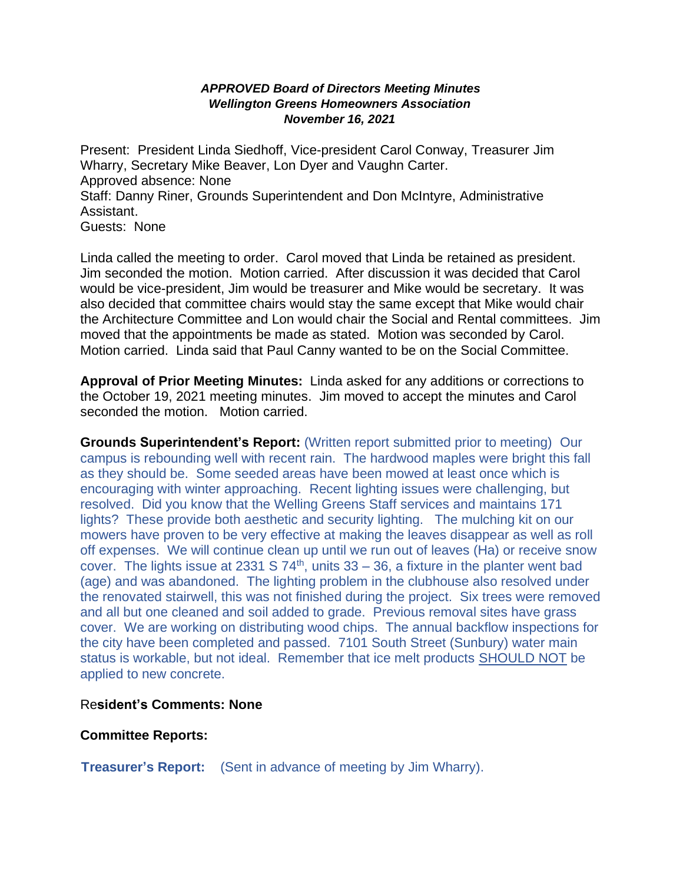## *APPROVED Board of Directors Meeting Minutes Wellington Greens Homeowners Association November 16, 2021*

Present: President Linda Siedhoff, Vice-president Carol Conway, Treasurer Jim Wharry, Secretary Mike Beaver, Lon Dyer and Vaughn Carter. Approved absence: None Staff: Danny Riner, Grounds Superintendent and Don McIntyre, Administrative Assistant. Guests: None

Linda called the meeting to order. Carol moved that Linda be retained as president. Jim seconded the motion. Motion carried. After discussion it was decided that Carol would be vice-president, Jim would be treasurer and Mike would be secretary. It was also decided that committee chairs would stay the same except that Mike would chair the Architecture Committee and Lon would chair the Social and Rental committees. Jim moved that the appointments be made as stated. Motion was seconded by Carol. Motion carried. Linda said that Paul Canny wanted to be on the Social Committee.

**Approval of Prior Meeting Minutes:** Linda asked for any additions or corrections to the October 19, 2021 meeting minutes. Jim moved to accept the minutes and Carol seconded the motion. Motion carried.

**Grounds Superintendent's Report:** (Written report submitted prior to meeting) Our campus is rebounding well with recent rain. The hardwood maples were bright this fall as they should be. Some seeded areas have been mowed at least once which is encouraging with winter approaching. Recent lighting issues were challenging, but resolved. Did you know that the Welling Greens Staff services and maintains 171 lights? These provide both aesthetic and security lighting. The mulching kit on our mowers have proven to be very effective at making the leaves disappear as well as roll off expenses. We will continue clean up until we run out of leaves (Ha) or receive snow cover. The lights issue at 2331 S  $74<sup>th</sup>$ , units  $33 - 36$ , a fixture in the planter went bad (age) and was abandoned. The lighting problem in the clubhouse also resolved under the renovated stairwell, this was not finished during the project. Six trees were removed and all but one cleaned and soil added to grade. Previous removal sites have grass cover. We are working on distributing wood chips. The annual backflow inspections for the city have been completed and passed. 7101 South Street (Sunbury) water main status is workable, but not ideal. Remember that ice melt products SHOULD NOT be applied to new concrete.

## Re**sident's Comments: None**

## **Committee Reports:**

**Treasurer's Report:** (Sent in advance of meeting by Jim Wharry).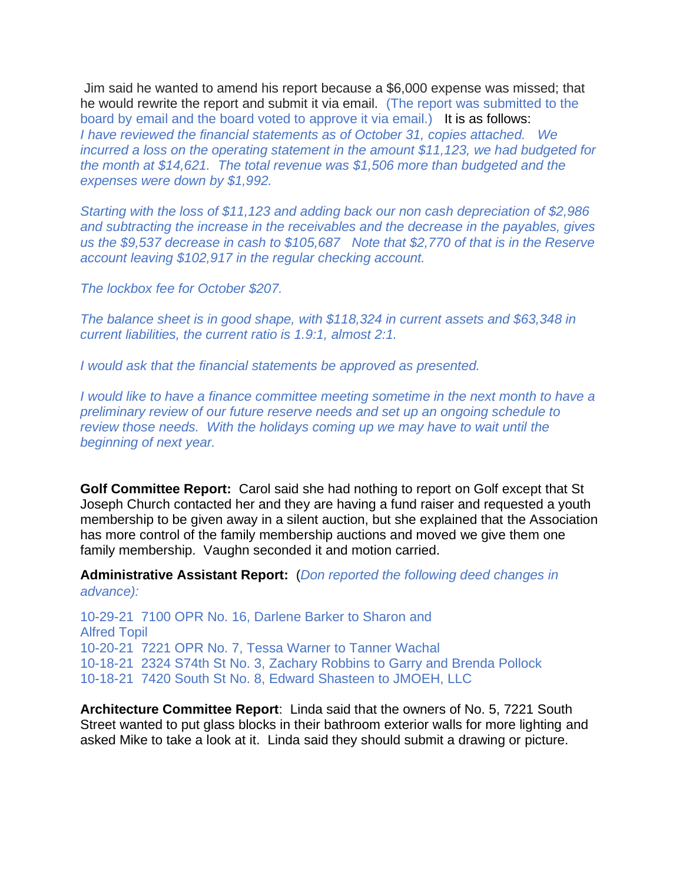Jim said he wanted to amend his report because a \$6,000 expense was missed; that he would rewrite the report and submit it via email. (The report was submitted to the board by email and the board voted to approve it via email.) It is as follows: *I have reviewed the financial statements as of October 31, copies attached. We incurred a loss on the operating statement in the amount \$11,123, we had budgeted for the month at \$14,621. The total revenue was \$1,506 more than budgeted and the expenses were down by \$1,992.*

*Starting with the loss of \$11,123 and adding back our non cash depreciation of \$2,986 and subtracting the increase in the receivables and the decrease in the payables, gives us the \$9,537 decrease in cash to \$105,687 Note that \$2,770 of that is in the Reserve account leaving \$102,917 in the regular checking account.*

*The lockbox fee for October \$207.*

*The balance sheet is in good shape, with \$118,324 in current assets and \$63,348 in current liabilities, the current ratio is 1.9:1, almost 2:1.*

*I would ask that the financial statements be approved as presented.*

*I* would like to have a finance committee meeting sometime in the next month to have a *preliminary review of our future reserve needs and set up an ongoing schedule to review those needs. With the holidays coming up we may have to wait until the beginning of next year.*

**Golf Committee Report:** Carol said she had nothing to report on Golf except that St Joseph Church contacted her and they are having a fund raiser and requested a youth membership to be given away in a silent auction, but she explained that the Association has more control of the family membership auctions and moved we give them one family membership. Vaughn seconded it and motion carried.

**Administrative Assistant Report:** (*Don reported the following deed changes in advance):*

10-29-21 7100 OPR No. 16, Darlene Barker to Sharon and Alfred Topil 10-20-21 7221 OPR No. 7, Tessa Warner to Tanner Wachal 10-18-21 2324 S74th St No. 3, Zachary Robbins to Garry and Brenda Pollock 10-18-21 7420 South St No. 8, Edward Shasteen to JMOEH, LLC

**Architecture Committee Report**: Linda said that the owners of No. 5, 7221 South Street wanted to put glass blocks in their bathroom exterior walls for more lighting and asked Mike to take a look at it. Linda said they should submit a drawing or picture.